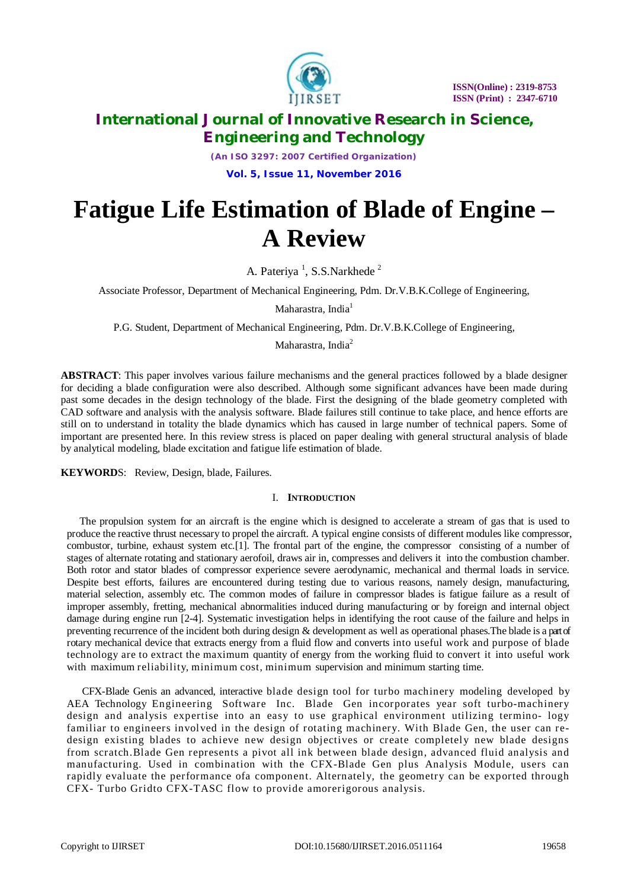

*(An ISO 3297: 2007 Certified Organization)* **Vol. 5, Issue 11, November 2016**

# **Fatigue Life Estimation of Blade of Engine – A Review**

A. Pateriya<sup>1</sup>, S.S.Narkhede<sup>2</sup>

Associate Professor, Department of Mechanical Engineering, Pdm. Dr.V.B.K.College of Engineering,

Maharastra, India<sup>1</sup>

P.G. Student, Department of Mechanical Engineering, Pdm. Dr.V.B.K.College of Engineering,

Maharastra, India<sup>2</sup>

**ABSTRACT**: This paper involves various failure mechanisms and the general practices followed by a blade designer for deciding a blade configuration were also described. Although some significant advances have been made during past some decades in the design technology of the blade. First the designing of the blade geometry completed with CAD software and analysis with the analysis software. Blade failures still continue to take place, and hence efforts are still on to understand in totality the blade dynamics which has caused in large number of technical papers. Some of important are presented here. In this review stress is placed on paper dealing with general structural analysis of blade by analytical modeling, blade excitation and fatigue life estimation of blade.

**KEYWORD**S: Review, Design, blade, Failures.

# I. **INTRODUCTION**

 The propulsion system for an aircraft is the engine which is designed to accelerate a stream of gas that is used to produce the reactive thrust necessary to propel the aircraft. A typical engine consists of different modules like compressor, combustor, turbine, exhaust system etc.[1]. The frontal part of the engine, the compressor consisting of a number of stages of alternate rotating and stationary aerofoil, draws air in, compresses and delivers it into the combustion chamber. Both rotor and stator blades of compressor experience severe aerodynamic, mechanical and thermal loads in service. Despite best efforts, failures are encountered during testing due to various reasons, namely design, manufacturing, material selection, assembly etc. The common modes of failure in compressor blades is fatigue failure as a result of improper assembly, fretting, mechanical abnormalities induced during manufacturing or by foreign and internal object damage during engine run [2-4]. Systematic investigation helps in identifying the root cause of the failure and helps in preventing recurrence of the incident both during design & development as well as operational phases.The blade is a part of rotary mechanical device that extracts energy from a fluid flow and converts into useful work and purpose of blade technology are to extract the maximum quantity of energy from the working fluid to convert it into useful work with maximum reliability, minimum cost, minimum supervision and minimum starting time.

CFX-Blade Genis an advanced, interactive blade design tool for turbo machinery modeling developed by AEA Technology Engineering Software Inc. Blade Gen incorporates year soft turbo-machinery design and analysis expertise into an easy to use graphical environment utilizing termino- logy familiar to engineers involved in the design of rotating machinery. With Blade Gen, the user can redesign existing blades to achieve new design objectives or create completely new blade designs from scratch.Blade Gen represents a pivot all ink between blade design, advanced fluid analysis and manufacturing. Used in combination with the CFX-Blade Gen plus Analysis Module, users can rapidly evaluate the performance ofa component. Alternately, the geometry can be exported through CFX- Turbo Gridto CFX-TASC flow to provide amorerigorous analysis.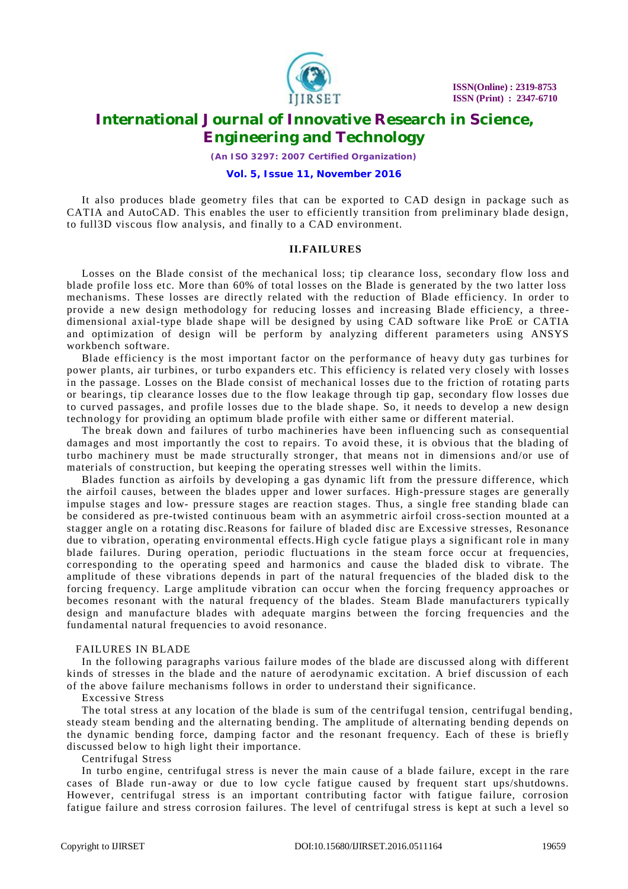

*(An ISO 3297: 2007 Certified Organization)*

## **Vol. 5, Issue 11, November 2016**

It also produces blade geometry files that can be exported to CAD design in package such as CATIA and AutoCAD. This enables the user to efficiently transition from preliminary blade design, to full3D viscous flow analysis, and finally to a CAD environment.

# **II.FAILURES**

Losses on the Blade consist of the mechanical loss; tip clearance loss, secondary flow loss and blade profile loss etc. More than 60% of total losses on the Blade is generated by the two latter loss mechanisms. These losses are directly related with the reduction of Blade efficiency. In order to provide a new design methodology for reducing losses and increasing Blade efficiency, a threedimensional axial-type blade shape will be designed by using CAD software like ProE or CATIA and optimization of design will be perform by analyzing different parameters using ANSYS workbench software.

Blade efficiency is the most important factor on the performance of heavy duty gas turbines for power plants, air turbines, or turbo expanders etc. This efficiency is related very closely with losses in the passage. Losses on the Blade consist of mechanical losses due to the friction of rotating parts or bearings, tip clearance losses due to the flow leakage through tip gap, secondary flow losses due to curved passages, and profile losses due to the blade shape. So, it needs to develop a new design technology for providing an optimum blade profile with either same or different material.

The break down and failures of turbo machineries have been influencing such as consequential damages and most importantly the cost to repairs. To avoid these, it is obvious that the blading of turbo machinery must be made structurally stronger, that means not in dimensions and/or use of materials of construction, but keeping the operating stresses well within the limits.

Blades function as airfoils by developing a gas dynamic lift from the pressure difference, which the airfoil causes, between the blades upper and lower surfaces. High-pressure stages are generally impulse stages and low- pressure stages are reaction stages. Thus, a single free standing blade can be considered as pre-twisted continuous beam with an asymmetric airfoil cross-section mounted at a stagger angle on a rotating disc.Reasons for failure of bladed disc are Excessive stresses, Resonance due to vibration, operating environmental effects. High cycle fatigue plays a significant role in many blade failures. During operation, periodic fluctuations in the steam force occur at frequencies, corresponding to the operating speed and harmonics and cause the bladed disk to vibrate. The amplitude of these vibrations depends in part of the natural frequencies of the bladed disk to the forcing frequency. Large amplitude vibration can occur when the forcing frequency approaches or becomes resonant with the natural frequency of the blades. Steam Blade manufacturers typically design and manufacture blades with adequate margins between the forcing frequencies and the fundamental natural frequencies to avoid resonance.

## FAILURES IN BLADE

In the following paragraphs various failure modes of the blade are discussed along with different kinds of stresses in the blade and the nature of aerodynamic excitation. A brief discussion of each of the above failure mechanisms follows in order to understand their significance.

#### Excessive Stress

The total stress at any location of the blade is sum of the centrifugal tension, centrifugal bending, steady steam bending and the alternating bending. The amplitude of alternating bending depends on the dynamic bending force, damping factor and the resonant frequency. Each of these is briefly discussed below to high light their importance.

#### Centrifugal Stress

In turbo engine, centrifugal stress is never the main cause of a blade failure, except in the rare cases of Blade run-away or due to low cycle fatigue caused by frequent start ups/shutdowns. However, centrifugal stress is an important contributing factor with fatigue failure, corrosion fatigue failure and stress corrosion failures. The level of centrifugal stress is kept at such a level so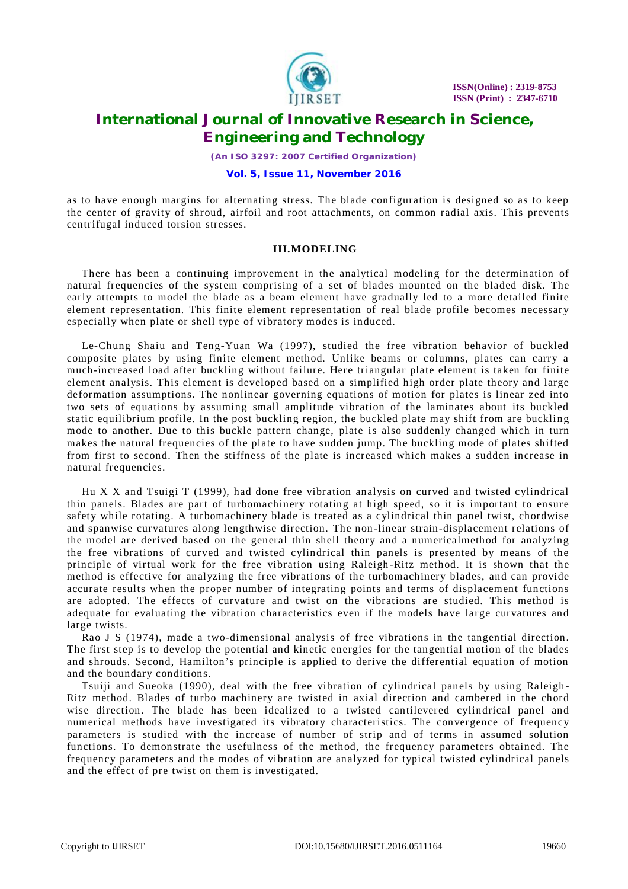

*(An ISO 3297: 2007 Certified Organization)*

## **Vol. 5, Issue 11, November 2016**

as to have enough margins for alternating stress. The blade configuration is designed so as to keep the center of gravity of shroud, airfoil and root attachments, on common radial axis. This prevents centrifugal induced torsion stresses.

# **III.MODELING**

There has been a continuing improvement in the analytical modeling for the determination of natural frequencies of the system comprising of a set of blades mounted on the bladed disk. The early attempts to model the blade as a beam element have gradually led to a more detailed finite element representation. This finite element representation of real blade profile becomes necessary especially when plate or shell type of vibratory modes is induced.

Le-Chung Shaiu and Teng-Yuan Wa (1997), studied the free vibration behavior of buckled composite plates by using finite element method. Unlike beams or columns, plates can carry a much-increased load after buckling without failure. Here triangular plate element is taken for finite element analysis. This element is developed based on a simplified high order plate theory and large deformation assumptions. The nonlinear governing equations of motion for plates is linear zed into two sets of equations by assuming small amplitude vibration of the laminates about its buckled static equilibrium profile. In the post buckling region, the buckled plate may shift from are buckling mode to another. Due to this buckle pattern change, plate is also suddenly changed which in turn makes the natural frequencies of the plate to have sudden jump. The buckling mode of plates shifted from first to second. Then the stiffness of the plate is increased which makes a sudden increase in natural frequencies.

Hu X X and Tsuigi T (1999), had done free vibration analysis on curved and twisted cylindrical thin panels. Blades are part of turbomachinery rotating at high speed, so it is important to ensure safety while rotating. A turbomachinery blade is treated as a cylindrical thin panel twist, chordwise and spanwise curvatures along lengthwise direction. The non-linear strain-displacement relations of the model are derived based on the general thin shell theory and a numericalmethod for analyzing the free vibrations of curved and twisted cylindrical thin panels is presented by means of the principle of virtual work for the free vibration using Raleigh -Ritz method. It is shown that the method is effective for analyzing the free vibrations of the turbomachinery blades, and can provide accurate results when the proper number of integrating points and terms of displacement functions are adopted. The effects of curvature and twist on the vibrations are studied. This method is adequate for evaluating the vibration characteristics even if the models have large curvatures and large twists.

Rao J S (1974), made a two-dimensional analysis of free vibrations in the tangential direction. The first step is to develop the potential and kinetic energies for the tangential motion of the blades and shrouds. Second, Hamilton's principle is applied to derive the differential equation of motion and the boundary conditions.

Tsuiji and Sueoka (1990), deal with the free vibration of cylindrical panels by using Raleigh - Ritz method. Blades of turbo machinery are twisted in axial direction and cambered in the chord wise direction. The blade has been idealized to a twisted cantilevered cylindrical panel and numerical methods have investigated its vibratory characteristics. The convergence of frequency parameters is studied with the increase of number of strip and of terms in assumed solution functions. To demonstrate the usefulness of the method, the frequency parameters obtained. The frequency parameters and the modes of vibration are analyzed for typical twisted cylindrical panels and the effect of pre twist on them is investigated.